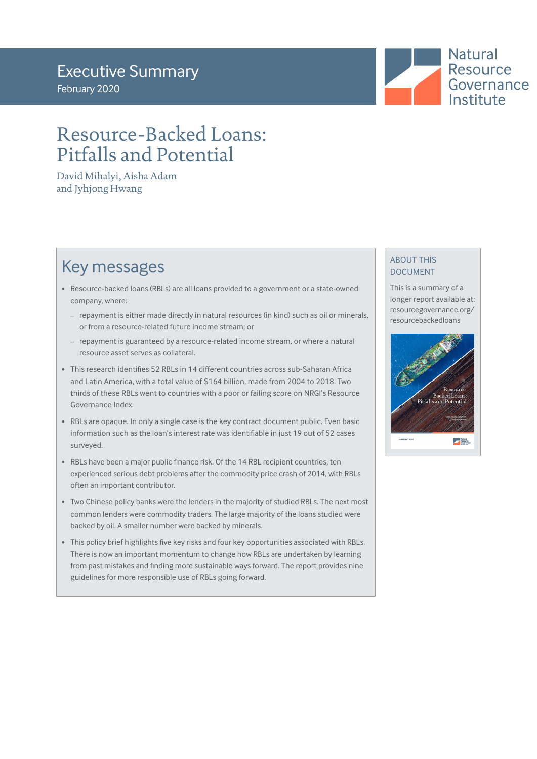**Natural Resource** Governance Institute

# Resource-Backed Loans: Pitfalls and Potential

David Mihalyi, Aisha Adam and Jyhjong Hwang

# Key messages

- Resource-backed loans (RBLs) are all loans provided to a government or a state-owned company, where:
	- repayment is either made directly in natural resources (in kind) such as oil or minerals, or from a resource-related future income stream; or
	- repayment is guaranteed by a resource-related income stream, or where a natural resource asset serves as collateral.
- This research identifies 52 RBLs in 14 different countries across sub-Saharan Africa and Latin America, with a total value of \$164 billion, made from 2004 to 2018. Two thirds of these RBLs went to countries with a poor or failing score on NRGI's Resource Governance Index.
- RBLs are opaque. In only a single case is the key contract document public. Even basic information such as the loan's interest rate was identifiable in just 19 out of 52 cases surveyed.
- RBLs have been a major public finance risk. Of the 14 RBL recipient countries, ten experienced serious debt problems after the commodity price crash of 2014, with RBLs often an important contributor.
- Two Chinese policy banks were the lenders in the majority of studied RBLs. The next most common lenders were commodity traders. The large majority of the loans studied were backed by oil. A smaller number were backed by minerals.
- This policy brief highlights five key risks and four key opportunities associated with RBLs. There is now an important momentum to change how RBLs are undertaken by learning from past mistakes and finding more sustainable ways forward. The report provides nine guidelines for more responsible use of RBLs going forward.

## ABOUT THIS DOCUMENT

This is a summary of a longer report available at: resourcegovernance.org/ resourcebackedloans

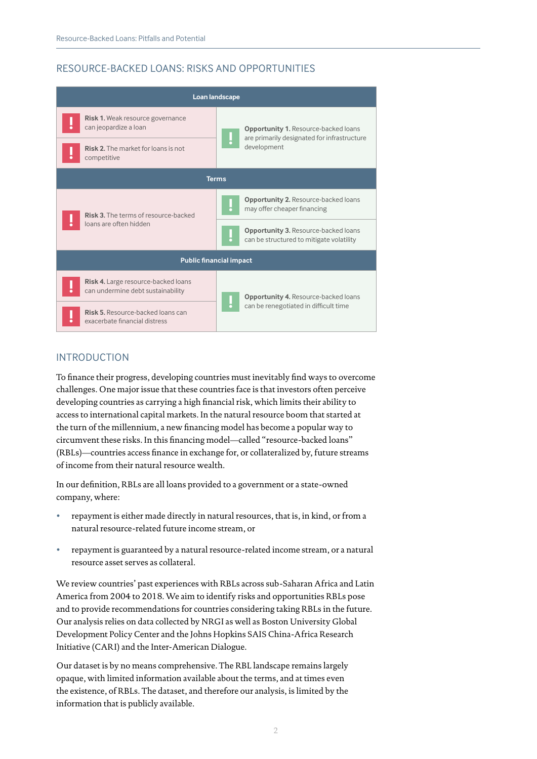## RESOURCE-BACKED LOANS: RISKS AND OPPORTUNITIES



## INTRODUCTION

To finance their progress, developing countries must inevitably find ways to overcome challenges. One major issue that these countries face is that investors often perceive developing countries as carrying a high financial risk, which limits their ability to access to international capital markets. In the natural resource boom that started at the turn of the millennium, a new financing model has become a popular way to circumvent these risks. In this financing model—called "resource-backed loans" (RBLs)—countries access finance in exchange for, or collateralized by, future streams of income from their natural resource wealth.

In our definition, RBLs are all loans provided to a government or a state-owned company, where:

- repayment is either made directly in natural resources, that is, in kind, or from a natural resource-related future income stream, or
- repayment is guaranteed by a natural resource-related income stream, or a natural resource asset serves as collateral.

We review countries' past experiences with RBLs across sub-Saharan Africa and Latin America from 2004 to 2018. We aim to identify risks and opportunities RBLs pose and to provide recommendations for countries considering taking RBLs in the future. Our analysis relies on data collected by NRGI as well as Boston University Global Development Policy Center and the Johns Hopkins SAIS China-Africa Research Initiative (CARI) and the Inter-American Dialogue.

Our dataset is by no means comprehensive. The RBL landscape remains largely opaque, with limited information available about the terms, and at times even the existence, of RBLs. The dataset, and therefore our analysis, is limited by the information that is publicly available.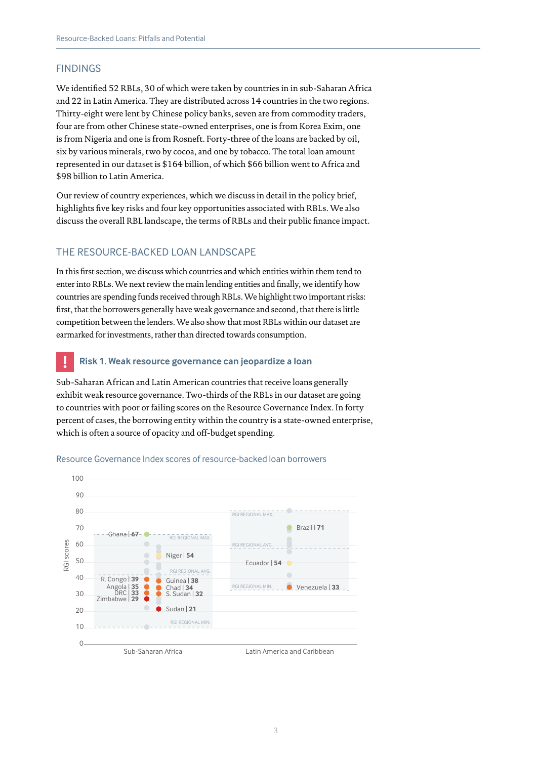## FINDINGS

We identified 52 RBLs, 30 of which were taken by countries in in sub-Saharan Africa and 22 in Latin America. They are distributed across 14 countries in the two regions. Thirty-eight were lent by Chinese policy banks, seven are from commodity traders, four are from other Chinese state-owned enterprises, one is from Korea Exim, one is from Nigeria and one is from Rosneft. Forty-three of the loans are backed by oil, six by various minerals, two by cocoa, and one by tobacco. The total loan amount represented in our dataset is \$164 billion, of which \$66 billion went to Africa and \$98 billion to Latin America.

Our review of country experiences, which we discuss in detail in the policy brief, highlights five key risks and four key opportunities associated with RBLs. We also discuss the overall RBL landscape, the terms of RBLs and their public finance impact.

## THE RESOURCE-BACKED LOAN LANDSCAPE

In this first section, we discuss which countries and which entities within them tend to enter into RBLs. We next review the main lending entities and finally, we identify how countries are spending funds received through RBLs. We highlight two important risks: first, that the borrowers generally have weak governance and second, that there is little competition between the lenders. We also show that most RBLs within our dataset are earmarked for investments, rather than directed towards consumption.

## **! Risk 1. Weak resource governance can jeopardize a loan**

Sub-Saharan African and Latin American countries that receive loans generally exhibit weak resource governance. Two-thirds of the RBLs in our dataset are going to countries with poor or failing scores on the Resource Governance Index. In forty percent of cases, the borrowing entity within the country is a state-owned enterprise, which is often a source of opacity and off-budget spending.



#### Resource Governance Index scores of resource-backed loan borrowers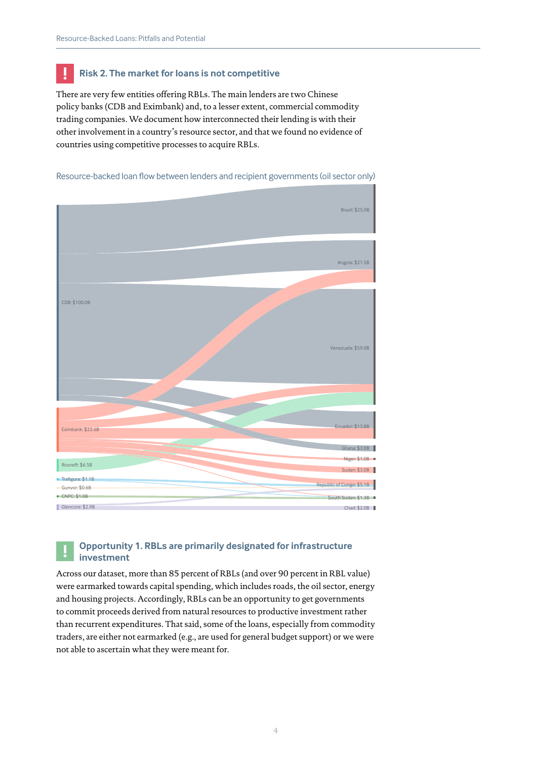## **! Risk 2. The market for loans is not competitive**

There are very few entities offering RBLs. The main lenders are two Chinese policy banks (CDB and Eximbank) and, to a lesser extent, commercial commodity trading companies. We document how interconnected their lending is with their other involvement in a country's resource sector, and that we found no evidence of countries using competitive processes to acquire RBLs.





## **! Opportunity 1. RBLs are primarily designated for infrastructure investment**

Across our dataset, more than 85 percent of RBLs (and over 90 percent in RBL value) were earmarked towards capital spending, which includes roads, the oil sector, energy and housing projects. Accordingly, RBLs can be an opportunity to get governments to commit proceeds derived from natural resources to productive investment rather than recurrent expenditures. That said, some of the loans, especially from commodity traders, are either not earmarked (e.g., are used for general budget support) or we were not able to ascertain what they were meant for.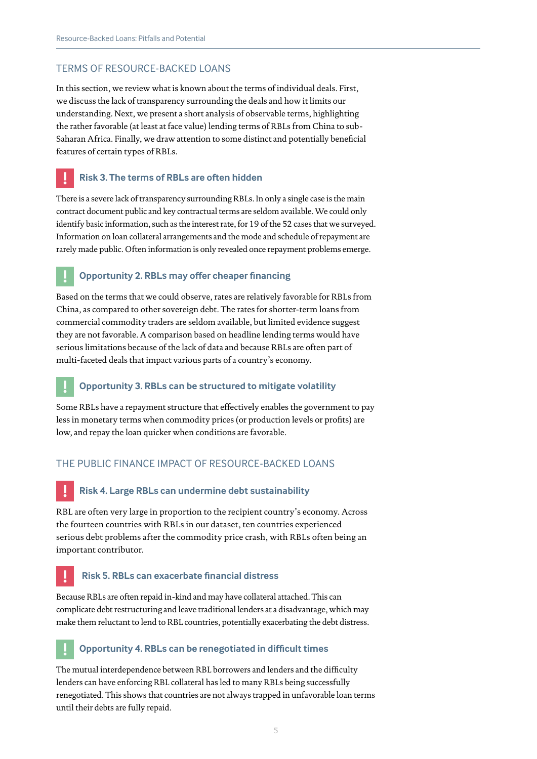### TERMS OF RESOURCE-BACKED LOANS

In this section, we review what is known about the terms of individual deals. First, we discuss the lack of transparency surrounding the deals and how it limits our understanding. Next, we present a short analysis of observable terms, highlighting the rather favorable (at least at face value) lending terms of RBLs from China to sub-Saharan Africa. Finally, we draw attention to some distinct and potentially beneficial features of certain types of RBLs.

## **! Risk 3. The terms of RBLs are often hidden**

There is a severe lack of transparency surrounding RBLs. In only a single case is the main contract document public and key contractual terms are seldom available. We could only identify basic information, such as the interest rate, for 19 of the 52 cases that we surveyed. Information on loan collateral arrangements and the mode and schedule of repayment are rarely made public. Often information is only revealed once repayment problems emerge.

## **! Opportunity 2. RBLs may offer cheaper financing**

Based on the terms that we could observe, rates are relatively favorable for RBLs from China, as compared to other sovereign debt. The rates for shorter-term loans from commercial commodity traders are seldom available, but limited evidence suggest they are not favorable. A comparison based on headline lending terms would have serious limitations because of the lack of data and because RBLs are often part of multi-faceted deals that impact various parts of a country's economy.

## **! Opportunity 3. RBLs can be structured to mitigate volatility**

Some RBLs have a repayment structure that effectively enables the government to pay less in monetary terms when commodity prices (or production levels or profits) are low, and repay the loan quicker when conditions are favorable.

## THE PUBLIC FINANCE IMPACT OF RESOURCE-BACKED LOANS

## **! Risk 4. Large RBLs can undermine debt sustainability**

RBL are often very large in proportion to the recipient country's economy. Across the fourteen countries with RBLs in our dataset, ten countries experienced serious debt problems after the commodity price crash, with RBLs often being an important contributor.

## **! Risk 5. RBLs can exacerbate financial distress**

Because RBLs are often repaid in-kind and may have collateral attached. This can complicate debt restructuring and leave traditional lenders at a disadvantage, which may make them reluctant to lend to RBL countries, potentially exacerbating the debt distress.

## **! Opportunity 4. RBLs can be renegotiated in difficult times**

The mutual interdependence between RBL borrowers and lenders and the difficulty lenders can have enforcing RBL collateral has led to many RBLs being successfully renegotiated. This shows that countries are not always trapped in unfavorable loan terms until their debts are fully repaid.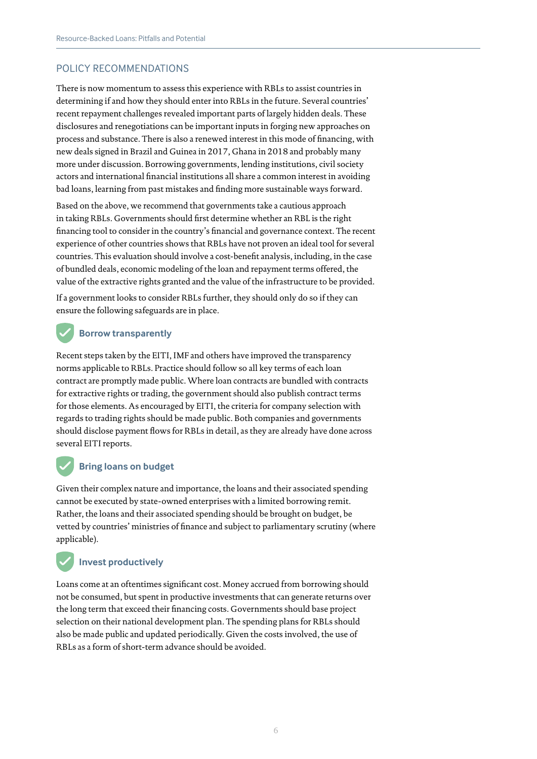## POLICY RECOMMENDATIONS

There is now momentum to assess this experience with RBLs to assist countries in determining if and how they should enter into RBLs in the future. Several countries' recent repayment challenges revealed important parts of largely hidden deals. These disclosures and renegotiations can be important inputs in forging new approaches on process and substance. There is also a renewed interest in this mode of financing, with new deals signed in Brazil and Guinea in 2017, Ghana in 2018 and probably many more under discussion. Borrowing governments, lending institutions, civil society actors and international financial institutions all share a common interest in avoiding bad loans, learning from past mistakes and finding more sustainable ways forward.

Based on the above, we recommend that governments take a cautious approach in taking RBLs. Governments should first determine whether an RBL is the right financing tool to consider in the country's financial and governance context. The recent experience of other countries shows that RBLs have not proven an ideal tool for several countries. This evaluation should involve a cost-benefit analysis, including, in the case of bundled deals, economic modeling of the loan and repayment terms offered, the value of the extractive rights granted and the value of the infrastructure to be provided.

If a government looks to consider RBLs further, they should only do so if they can ensure the following safeguards are in place.

## **Borrow transparently**

Recent steps taken by the EITI, IMF and others have improved the transparency norms applicable to RBLs. Practice should follow so all key terms of each loan contract are promptly made public. Where loan contracts are bundled with contracts for extractive rights or trading, the government should also publish contract terms for those elements. As encouraged by EITI, the criteria for company selection with regards to trading rights should be made public. Both companies and governments should disclose payment flows for RBLs in detail, as they are already have done across several EITI reports.

## **Bring loans on budget**

Given their complex nature and importance, the loans and their associated spending cannot be executed by state-owned enterprises with a limited borrowing remit. Rather, the loans and their associated spending should be brought on budget, be vetted by countries' ministries of finance and subject to parliamentary scrutiny (where applicable).

## **Invest productively**

Loans come at an oftentimes significant cost. Money accrued from borrowing should not be consumed, but spent in productive investments that can generate returns over the long term that exceed their financing costs. Governments should base project selection on their national development plan. The spending plans for RBLs should also be made public and updated periodically. Given the costs involved, the use of RBLs as a form of short-term advance should be avoided.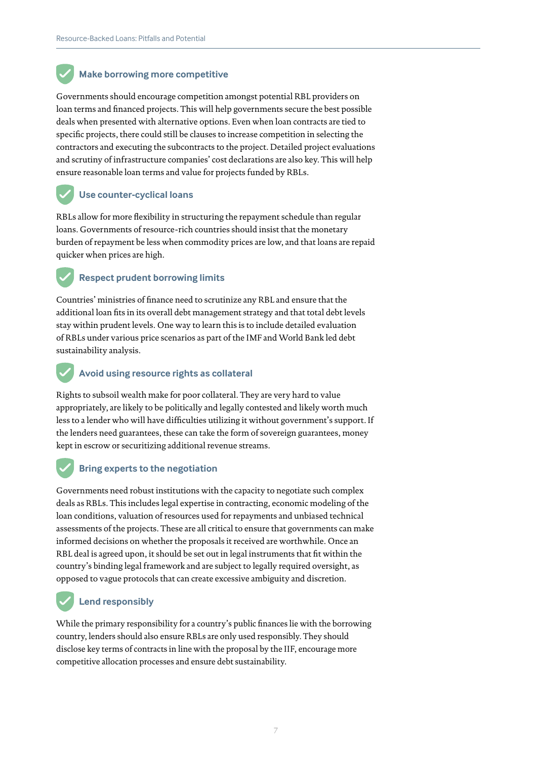## **Make borrowing more competitive**

Governments should encourage competition amongst potential RBL providers on loan terms and financed projects. This will help governments secure the best possible deals when presented with alternative options. Even when loan contracts are tied to specific projects, there could still be clauses to increase competition in selecting the contractors and executing the subcontracts to the project. Detailed project evaluations and scrutiny of infrastructure companies' cost declarations are also key. This will help ensure reasonable loan terms and value for projects funded by RBLs.

## **Use counter-cyclical loans**

RBLs allow for more flexibility in structuring the repayment schedule than regular loans. Governments of resource-rich countries should insist that the monetary burden of repayment be less when commodity prices are low, and that loans are repaid quicker when prices are high.

## **Respect prudent borrowing limits**

Countries' ministries of finance need to scrutinize any RBL and ensure that the additional loan fits in its overall debt management strategy and that total debt levels stay within prudent levels. One way to learn this is to include detailed evaluation of RBLs under various price scenarios as part of the IMF and World Bank led debt sustainability analysis.

## **Avoid using resource rights as collateral**

Rights to subsoil wealth make for poor collateral. They are very hard to value appropriately, are likely to be politically and legally contested and likely worth much less to a lender who will have difficulties utilizing it without government's support. If the lenders need guarantees, these can take the form of sovereign guarantees, money kept in escrow or securitizing additional revenue streams.

## **Bring experts to the negotiation**

Governments need robust institutions with the capacity to negotiate such complex deals as RBLs. This includes legal expertise in contracting, economic modeling of the loan conditions, valuation of resources used for repayments and unbiased technical assessments of the projects. These are all critical to ensure that governments can make informed decisions on whether the proposals it received are worthwhile. Once an RBL deal is agreed upon, it should be set out in legal instruments that fit within the country's binding legal framework and are subject to legally required oversight, as opposed to vague protocols that can create excessive ambiguity and discretion.

## **Lend responsibly**

While the primary responsibility for a country's public finances lie with the borrowing country, lenders should also ensure RBLs are only used responsibly. They should disclose key terms of contracts in line with the proposal by the IIF, encourage more competitive allocation processes and ensure debt sustainability.